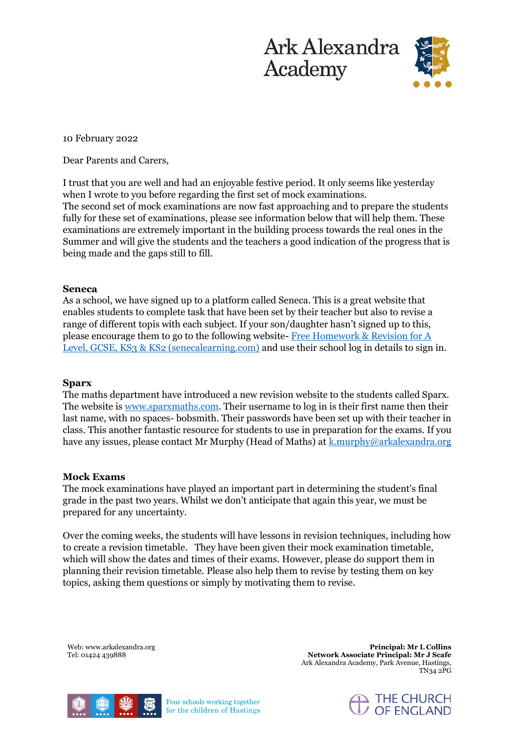



10 February 2022

Dear Parents and Carers,

I trust that you are well and had an enjoyable festive period. It only seems like yesterday when I wrote to you before regarding the first set of mock examinations. The second set of mock examinations are now fast approaching and to prepare the students fully for these set of examinations, please see information below that will help them. These examinations are extremely important in the building process towards the real ones in the Summer and will give the students and the teachers a good indication of the progress that is being made and the gaps still to fill.

# **Seneca**

As a school, we have signed up to a platform called Seneca. This is a great website that enables students to complete task that have been set by their teacher but also to revise a range of different topis with each subject. If your son/daughter hasn't signed up to this, please encourage them to go to the following website- [Free Homework & Revision for A](https://senecalearning.com/en-GB/)  [Level, GCSE, KS3 & KS2 \(senecalearning.com\)](https://senecalearning.com/en-GB/) and use their school log in details to sign in.

# **Sparx**

The maths department have introduced a new revision website to the students called Sparx. The website is [www.sparxmaths.com.](http://www.sparxmaths.com/) Their username to log in is their first name then their last name, with no spaces- bobsmith. Their passwords have been set up with their teacher in class. This another fantastic resource for students to use in preparation for the exams. If you have any issues, please contact Mr Murphy (Head of Maths) at <u>k.murphy@arkalexandra.org</u>

# **Mock Exams**

The mock examinations have played an important part in determining the student's final grade in the past two years. Whilst we don't anticipate that again this year, we must be prepared for any uncertainty.

Over the coming weeks, the students will have lessons in revision techniques, including how to create a revision timetable. They have been given their mock examination timetable, which will show the dates and times of their exams. However, please do support them in planning their revision timetable. Please also help them to revise by testing them on key topics, asking them questions or simply by motivating them to revise.

Web: www.arkalexandra.org Tel: 01424 439888

**Principal: Mr L Collins Network Associate Principal: Mr J Scafe**  Ark Alexandra Academy, Park Avenue, Hastings, TN34 2PG



Four schools working together for the children of Hastings